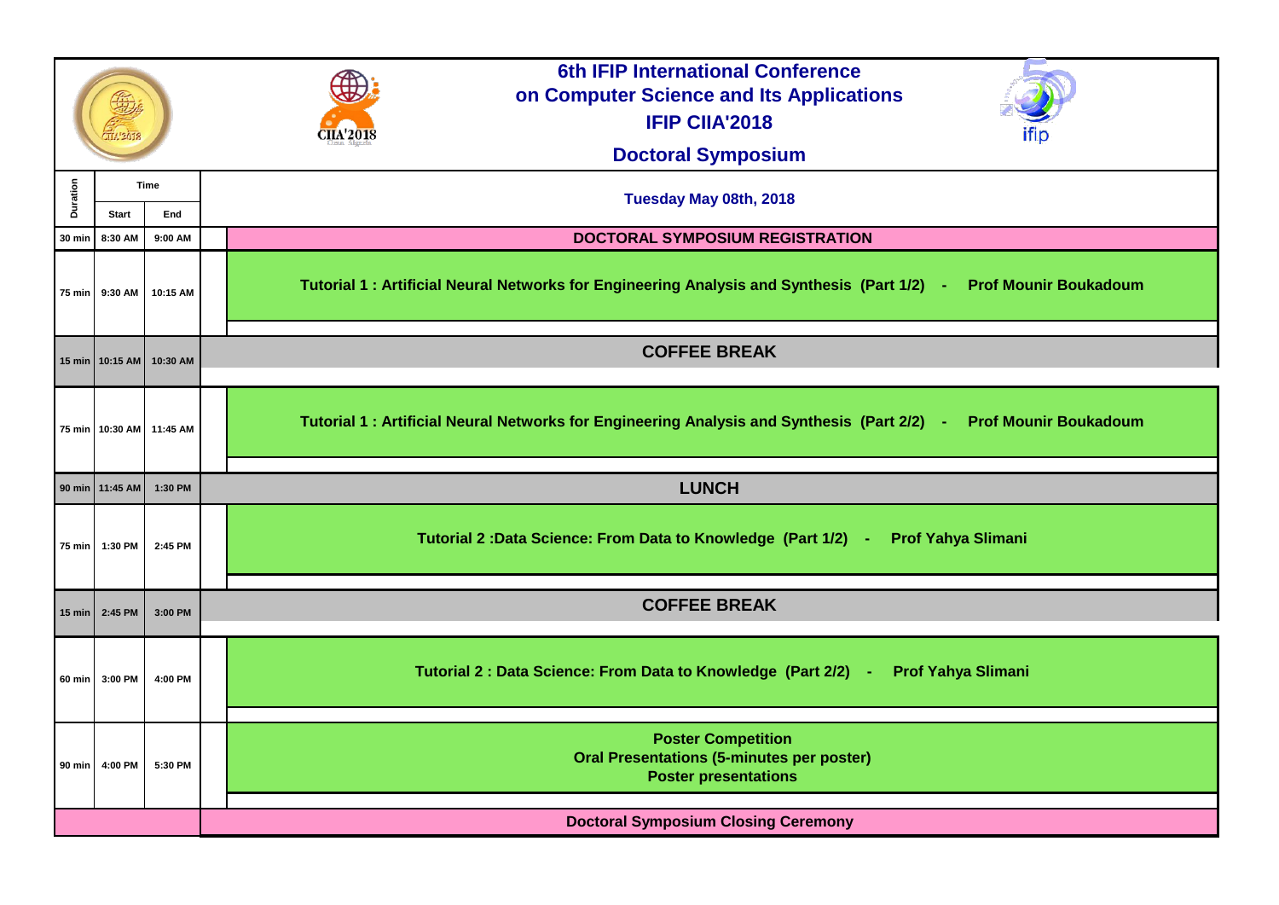|               |                                    |                              | <b>6th IFIP International Conference</b><br>on Computer Science and Its Applications<br><b>IFIP CIIA'2018</b><br><b>IIA'2018</b><br><b>Doctoral Symposium</b> |
|---------------|------------------------------------|------------------------------|---------------------------------------------------------------------------------------------------------------------------------------------------------------|
| Duration      | <b>Time</b><br>End<br><b>Start</b> |                              | Tuesday May 08th, 2018                                                                                                                                        |
| <b>30 min</b> | 8:30 AM                            | 9:00 AM                      | <b>DOCTORAL SYMPOSIUM REGISTRATION</b>                                                                                                                        |
|               | 75 min 9:30 AM                     | 10:15 AM                     | <b>Prof Mo</b><br>Tutorial 1 : Artificial Neural Networks for Engineering Analysis and Synthesis (Part 1/2) -                                                 |
|               |                                    | 15 min   10:15 AM   10:30 AM | <b>COFFEE BREAK</b>                                                                                                                                           |
|               |                                    | 75 min   10:30 AM   11:45 AM | Tutorial 1 : Artificial Neural Networks for Engineering Analysis and Synthesis (Part 2/2) -<br><b>Prof Mo</b>                                                 |
|               | 90 min   11:45 AM                  | 1:30 PM                      | <b>LUNCH</b>                                                                                                                                                  |
| $75$ min      | 1:30 PM                            | 2:45 PM                      | Tutorial 2: Data Science: From Data to Knowledge (Part 1/2) - Prof Yahya Slimani                                                                              |
|               | 15 min $\vert$ 2:45 PM             | 3:00 PM                      | <b>COFFEE BREAK</b>                                                                                                                                           |
|               | 60 min 3:00 PM                     | 4:00 PM                      | Tutorial 2 : Data Science: From Data to Knowledge (Part 2/2) -<br><b>Prof Yahya Sliman</b>                                                                    |
|               | 90 min 4:00 PM                     | 5:30 PM                      | <b>Poster Competition</b><br><b>Oral Presentations (5-minutes per poster)</b><br><b>Poster presentations</b>                                                  |
|               |                                    |                              | <b>Doctoral Symposium Closing Ceremony</b>                                                                                                                    |
|               |                                    |                              |                                                                                                                                                               |



# **Prof Mounir Boukadoum**

# **Prof Mounir Boukadoum**

## a Slimani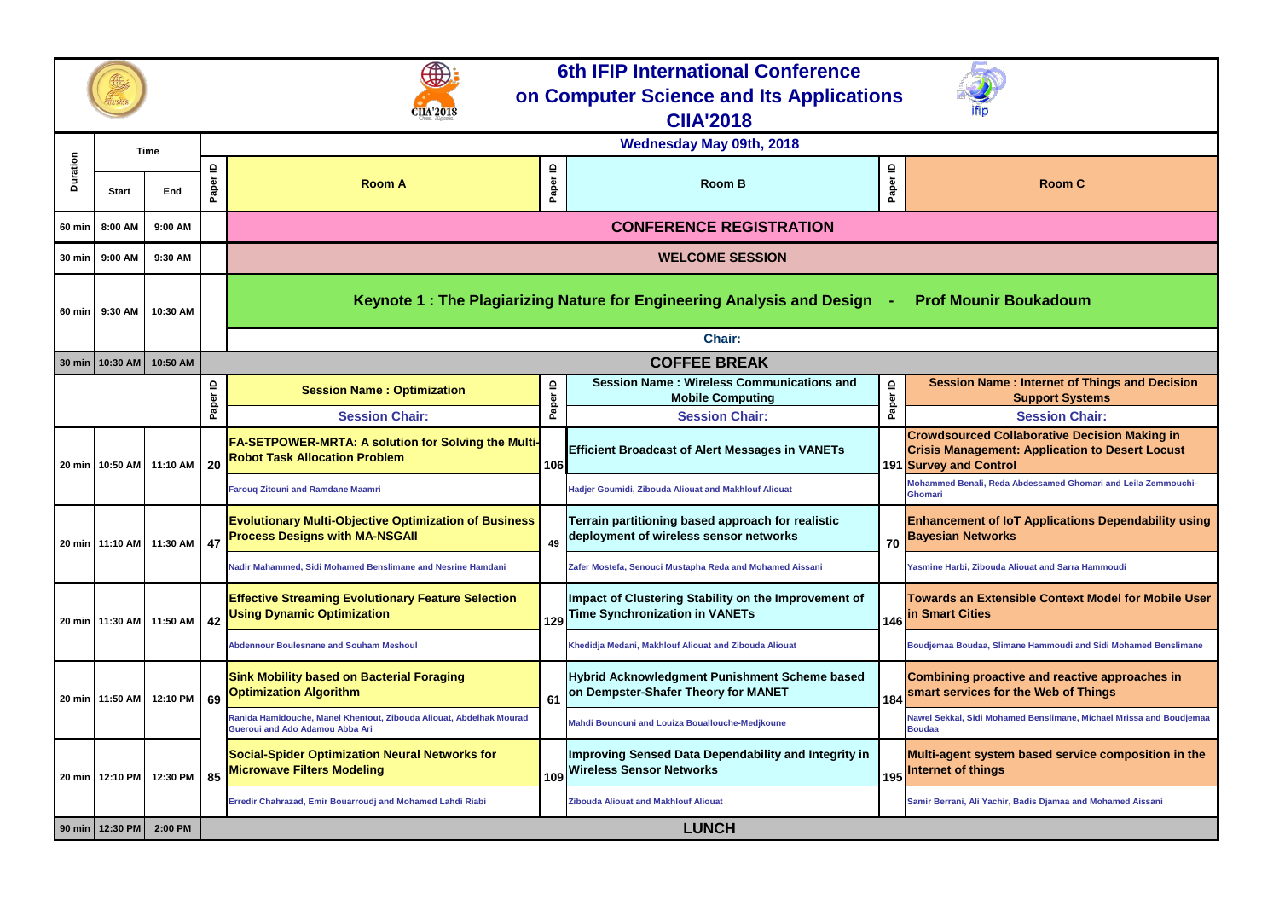**Towards an Extensible Context Model for Mobile User ities** 

**Abdennoplerigansische Mennoudi and Sidi Mohamed Benslimane** 

**Combining proactive and reactive approaches in scarge in the Web of Things** 

**Sidi Mohamed Benslimane, Michael Mrissa and Boudjemaa** 

**System based service composition in the Internet of the final set** 

|                 | <b>Time</b>       |          |                       | <b>Wednesday May 09th, 2018</b>                                                                          |                        |                                                                                               |            |                                                                                                                |  |  |  |
|-----------------|-------------------|----------|-----------------------|----------------------------------------------------------------------------------------------------------|------------------------|-----------------------------------------------------------------------------------------------|------------|----------------------------------------------------------------------------------------------------------------|--|--|--|
| <b>Duration</b> | <b>Start</b>      | End      | $\mathbf{r}$<br>Paper | <b>Room A</b>                                                                                            | Paper ID               | <b>Room B</b>                                                                                 | ≘<br>Paper | <b>Room C</b>                                                                                                  |  |  |  |
|                 | 60 min 8:00 AM    | 9:00 AM  |                       |                                                                                                          |                        | <b>CONFERENCE REGISTRATION</b>                                                                |            |                                                                                                                |  |  |  |
|                 | 30 min   9:00 AM  | 9:30 AM  |                       |                                                                                                          | <b>WELCOME SESSION</b> |                                                                                               |            |                                                                                                                |  |  |  |
| 60 min          | 9:30 AM           | 10:30 AM |                       | Keynote 1: The Plagiarizing Nature for Engineering Analysis and Design -<br><b>Prof Mounir Boukadour</b> |                        |                                                                                               |            |                                                                                                                |  |  |  |
|                 |                   |          |                       |                                                                                                          |                        | <b>Chair:</b>                                                                                 |            |                                                                                                                |  |  |  |
| <b>30 min</b>   | 10:30 AM          | 10:50 AM |                       |                                                                                                          |                        | <b>COFFEE BREAK</b>                                                                           |            |                                                                                                                |  |  |  |
|                 |                   |          | ≘                     | <b>Session Name: Optimization</b>                                                                        | Paper ID               | <b>Session Name: Wireless Communications and</b><br><b>Mobile Computing</b>                   | ≘          | <b>Session Name: Internet of</b><br><b>Support Sys</b>                                                         |  |  |  |
|                 |                   |          | Paper                 | <b>Session Chair:</b>                                                                                    |                        | <b>Session Chair:</b>                                                                         | Paper      | <b>Session Ch</b>                                                                                              |  |  |  |
|                 | 20 min   10:50 AM | 11:10 AM | 20                    | <b>FA-SETPOWER-MRTA: A solution for Solving the Multi-</b><br><b>Robot Task Allocation Problem</b>       | 106                    | <b>Efficient Broadcast of Alert Messages in VANETs</b>                                        |            | <b>Crowdsourced Collaborative De</b><br><b>Crisis Management: Application</b><br><b>191 Survey and Control</b> |  |  |  |
|                 |                   |          |                       | <b>Farouq Zitouni and Ramdane Maamri</b>                                                                 |                        | Hadjer Goumidi, Zibouda Aliouat and Makhlouf Aliouat                                          |            | Mohammed Benali, Reda Abdessamed Gho<br>Ghomari                                                                |  |  |  |
|                 | 20 min   11:10 AM | 11:30 AM | 47                    | <b>Evolutionary Multi-Objective Optimization of Business</b><br><b>Process Designs with MA-NSGAII</b>    | 49                     | Terrain partitioning based approach for realistic<br>deployment of wireless sensor networks   | 70         | <b>Enhancement of IoT Application</b><br><b>Bayesian Networks</b>                                              |  |  |  |
|                 |                   |          |                       | Nadir Mahammed, Sidi Mohamed Benslimane and Nesrine Hamdani                                              |                        | Zafer Mostefa, Senouci Mustapha Reda and Mohamed Aissani                                      |            | Yasmine Harbi, Zibouda Aliouat and Sarra I                                                                     |  |  |  |
|                 | 20 min   11:30 AM | 11:50 AM | 42                    | <b>Effective Streaming Evolutionary Feature Selection</b><br><b>Using Dynamic Optimization</b>           | 129                    | Impact of Clustering Stability on the Improvement of<br><b>Time Synchronization in VANETs</b> |            | <b>Towards an Extensible Context</b><br>146 In Smart Cities                                                    |  |  |  |
|                 |                   |          |                       | <b>Abdennour Boulesnane and Souham Meshoul</b>                                                           |                        | Khedidja Medani, Makhlouf Aliouat and Zibouda Aliouat                                         |            | Boudjemaa Boudaa, Slimane Hammoudi ar                                                                          |  |  |  |
|                 | 20 min   11:50 AM | 12:10 PM | 69                    | <b>Sink Mobility based on Bacterial Foraging</b><br><b>Optimization Algorithm</b>                        | 61                     | Hybrid Acknowledgment Punishment Scheme based<br>on Dempster-Shafer Theory for MANET          | 184        | <b>Combining proactive and reacti</b><br>smart services for the Web of T                                       |  |  |  |
|                 |                   |          |                       | Ranida Hamidouche, Manel Khentout, Zibouda Aliouat, Abdelhak Mourad<br>Gueroui and Ado Adamou Abba Ari   |                        | Mahdi Bounouni and Louiza Bouallouche-Medjkoune                                               |            | Nawel Sekkal, Sidi Mohamed Benslimane, I<br><b>Boudaa</b>                                                      |  |  |  |
|                 | 20 min   12:10 PM | 12:30 PM | 85                    | <b>Social-Spider Optimization Neural Networks for</b><br><b>Microwave Filters Modeling</b>               | 109                    | Improving Sensed Data Dependability and Integrity in<br><b>Wireless Sensor Networks</b>       | 195        | Multi-agent system based servi<br><b>Internet of things</b>                                                    |  |  |  |
|                 |                   |          |                       | Erredir Chahrazad, Emir Bouarroudj and Mohamed Lahdi Riabi                                               |                        | <b>Zibouda Aliouat and Makhlouf Aliouat</b>                                                   |            | Samir Berrani, Ali Yachir, Badis Djamaa and                                                                    |  |  |  |
|                 | 90 min   12:30 PM | 2:00 PM  | <b>LUNCH</b>          |                                                                                                          |                        |                                                                                               |            |                                                                                                                |  |  |  |

# **n Name : Internet of Things and Decision Support Systems Session Chair: Crowab Collaborative Decision Making in Crisis Management: Application to Desert Locust Control Fali, Reda Abdessamed Ghomari and Leila Zemmouchi-Ent of IoT Applications Dependability using** *<u><b>Betworks</u>*</u> **Kunir Boukadoum**

**Zibouda Aliouat and Sarra Hammoudi** 

**Erredir Chahrazad, Emir Bouarroudj and Mohamed Lahdi Riabi Zibouda Aliouat and Makhlouf Aliouat Samir Berrani, Ali Yachir, Badis Djamaa and Mohamed Aissani**





# **6th IFIP International Conference on Computer Science and Its Applications**

**CIIA'2018**

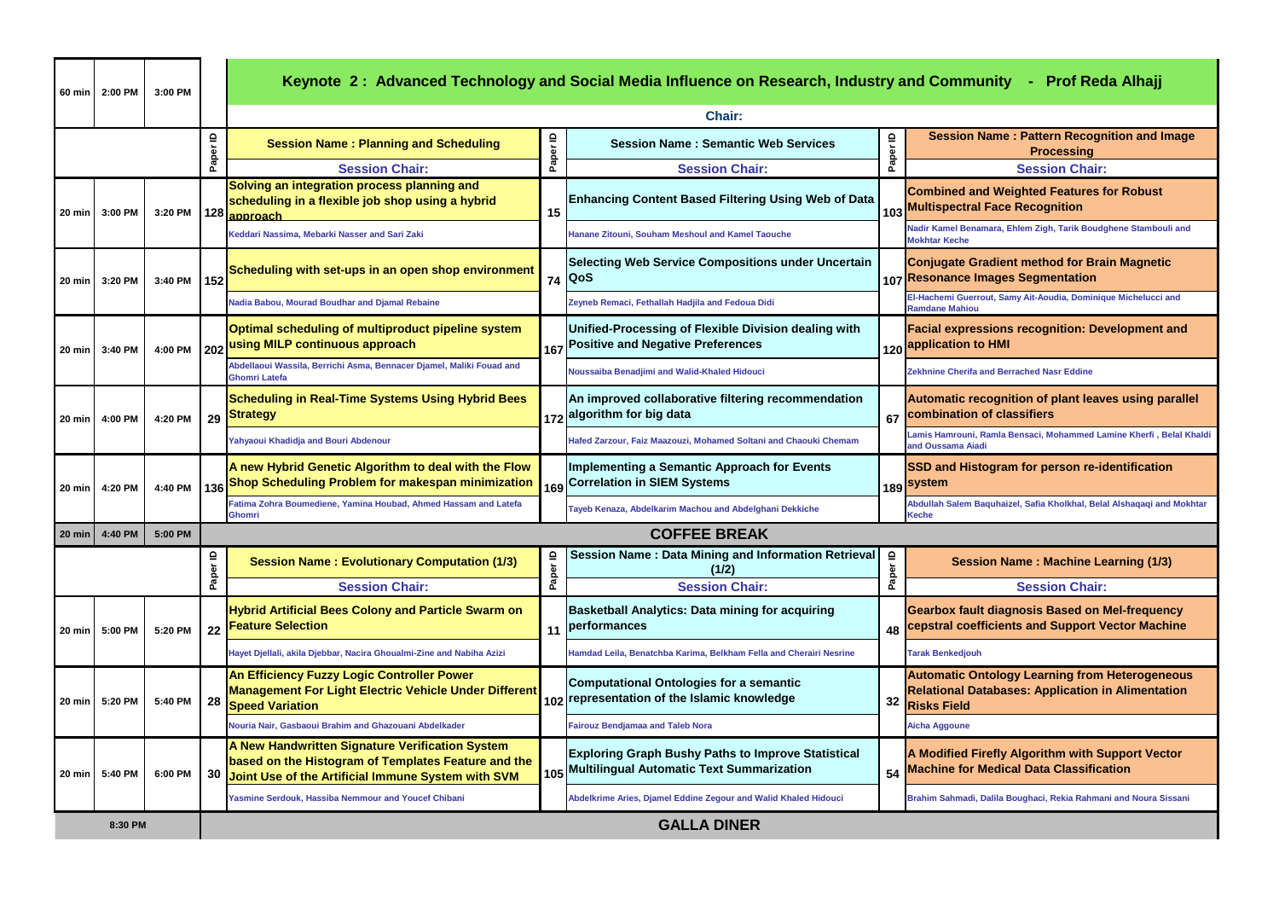**n Name : Pattern Recognition and Image**  $\overline{\phantom{a}}$ **Processing**

**Session Chair:** 

**and Weighted Features for Robust Maltispec Finds** Face Recognition

**Eddari Ramane Analyi Eddari Hanane Stambouli and Kamel Taoucher Stambouli and Kamel Benamara, Ehlem Zigh, Tarik Boudghene Stambouli and** 

**Cradient method for Brain Magnetic Images Segmentation** 

**Nadia Baboura Baboura Boudhar Boudhar Boudhard Repairson Repairs R** 

**Yahyaoui Khadidja and Bouri Abdenour Hafed Zarzour, Faiz Maazouzi, Mohamed Soltani and Chaouki Chemam Lamis Hamrouni, Ramla Bensaci, Mohammed Lamine Kherfi , Belal Khaldi Aiadi** 

**istogram for person re-identification** 

**Facial expressions recognition: Development and application to HMI**

recognition of plant leaves using parallel **combination of classifiers** 

**Gearbox fault diagnosis Based on Mel-frequency cefficients and Support Vector Machine** 

**Automatic Ontology Learning from Heterogeneous Databases: Application in Alimentation** 

**Firefly Algorithm with Support Vector Machine for Medical Data Classification**

**Ghomri Tayeb Kenaza, Abdelkarim Machou and Abdelghani Dekkiche Abdullah Salem Baquhaizel, Safia Kholkhal, Belal Alshaqaqi and Mokhtar** 

| 60 min             | 2:00 PM                       | 3:00 PM | Keynote 2: Advanced Technology and Social Media Influence on Research, Industry and Community<br>$-$ Prof R |                                                                                                                                                                 |          |                                                                                                            |                       |                                                                                                         |  |
|--------------------|-------------------------------|---------|-------------------------------------------------------------------------------------------------------------|-----------------------------------------------------------------------------------------------------------------------------------------------------------------|----------|------------------------------------------------------------------------------------------------------------|-----------------------|---------------------------------------------------------------------------------------------------------|--|
|                    | <b>Chair:</b>                 |         |                                                                                                             |                                                                                                                                                                 |          |                                                                                                            |                       |                                                                                                         |  |
|                    |                               |         |                                                                                                             | <b>Session Name: Planning and Scheduling</b>                                                                                                                    | Paper ID | <b>Session Name: Semantic Web Services</b>                                                                 | Paper ID              | <b>Session Name: Pattern Reco</b><br><b>Processing</b>                                                  |  |
|                    |                               |         | Paper ID                                                                                                    | <b>Session Chair:</b>                                                                                                                                           |          | <b>Session Chair:</b>                                                                                      |                       | <b>Session Cha</b>                                                                                      |  |
| 20 min l           | 3:00 PM                       | 3:20 PM |                                                                                                             | Solving an integration process planning and<br>scheduling in a flexible job shop using a hybrid<br>128 approach                                                 | 15       | <b>Enhancing Content Based Filtering Using Web of Data</b>                                                 | 103                   | <b>Combined and Weighted Feature</b><br><b>Multispectral Face Recognition</b>                           |  |
|                    |                               |         |                                                                                                             | Keddari Nassima, Mebarki Nasser and Sari Zaki                                                                                                                   |          | <b>Hanane Zitouni, Souham Meshoul and Kamel Taouche</b>                                                    |                       | Nadir Kamel Benamara, Ehlem Zigh, Tarik Bo<br><b>Mokhtar Keche</b>                                      |  |
| 20 min             | 3:20 PM                       | 3:40 PM | 152                                                                                                         | Scheduling with set-ups in an open shop environment                                                                                                             |          | <b>Selecting Web Service Compositions under Uncertain</b><br>74   QoS                                      |                       | <b>Conjugate Gradient method for E</b><br>107 Resonance Images Segmentatior                             |  |
|                    |                               |         |                                                                                                             | Nadia Babou, Mourad Boudhar and Djamal Rebaine                                                                                                                  |          | Zeyneb Remaci, Fethallah Hadjila and Fedoua Didi                                                           |                       | El-Hachemi Guerrout, Samy Ait-Aoudia, Domi<br><b>Ramdane Mahiou</b>                                     |  |
| 20 min             | 3:40 PM                       | 4:00 PM |                                                                                                             | <b>Optimal scheduling of multiproduct pipeline system</b><br>202 using MILP continuous approach                                                                 |          | Unified-Processing of Flexible Division dealing with<br>167 Positive and Negative Preferences              |                       | <b>Facial expressions recognition: I</b><br>120 <mark>application to HMI</mark>                         |  |
|                    |                               |         |                                                                                                             | Abdellaoui Wassila, Berrichi Asma, Bennacer Djamel, Maliki Fouad and<br><b>Ghomri Latefa</b>                                                                    |          | Noussaiba Benadjimi and Walid-Khaled Hidouci                                                               |                       | <b>Zekhnine Cherifa and Berrached Nasr Eddine</b>                                                       |  |
| $ 20 \text{ min} $ | 4:00 PM                       | 4:20 PM | 29                                                                                                          | <b>Scheduling in Real-Time Systems Using Hybrid Bees</b><br><b>Strategy</b>                                                                                     |          | An improved collaborative filtering recommendation<br>1 <sub>172</sub> algorithm for big data              | 67                    | <b>Automatic recognition of plant le</b><br>combination of classifiers                                  |  |
|                    |                               |         |                                                                                                             | Yahyaoui Khadidja and Bouri Abdenour                                                                                                                            |          | Hafed Zarzour, Faiz Maazouzi, Mohamed Soltani and Chaouki Chemam                                           |                       | Lamis Hamrouni, Ramla Bensaci, Mohammed<br>and Oussama Aiadi                                            |  |
| 20 min             | 4:20 PM                       | 4:40 PM | 136                                                                                                         | A new Hybrid Genetic Algorithm to deal with the Flow<br>Shop Scheduling Problem for makespan minimization                                                       |          | Implementing a Semantic Approach for Events<br>169 Correlation in SIEM Systems                             |                       | <b>SSD and Histogram for person re</b><br>189 <sup>System</sup>                                         |  |
|                    |                               |         |                                                                                                             | Fatima Zohra Boumediene, Yamina Houbad, Ahmed Hassam and Latefa<br><b>Ghomri</b>                                                                                |          | Tayeb Kenaza, Abdelkarim Machou and Abdelghani Dekkiche                                                    |                       | Abdullah Salem Baquhaizel, Safia Kholkhal, I<br>Keche                                                   |  |
| $ 20 \text{ min} $ | 4:40 PM                       | 5:00 PM |                                                                                                             |                                                                                                                                                                 |          | <b>COFFEE BREAK</b>                                                                                        |                       |                                                                                                         |  |
|                    |                               |         | Paper ID                                                                                                    | <b>Session Name: Evolutionary Computation (1/3)</b>                                                                                                             | Paper ID | <b>Session Name: Data Mining and Information Retrieval</b><br>(1/2)                                        | $\mathbf{a}$<br>Paper | <b>Session Name: Machine</b>                                                                            |  |
|                    |                               |         |                                                                                                             | <b>Session Chair:</b>                                                                                                                                           |          | <b>Session Chair:</b>                                                                                      |                       | <b>Session Cha</b>                                                                                      |  |
| $20 \text{ min}$   | 5:00 PM                       | 5:20 PM | 22                                                                                                          | <b>Hybrid Artificial Bees Colony and Particle Swarm on</b><br><b>Feature Selection</b>                                                                          |          | <b>Basketball Analytics: Data mining for acquiring</b><br>11   performances                                | 48                    | <b>Gearbox fault diagnosis Based o</b><br>cepstral coefficients and Suppor                              |  |
|                    |                               |         |                                                                                                             | Hayet Djellali, akila Djebbar, Nacira Ghoualmi-Zine and Nabiha Azizi                                                                                            |          | Hamdad Leila, Benatchba Karima, Belkham Fella and Cherairi Nesrine                                         |                       | <b>Tarak Benkedjouh</b>                                                                                 |  |
| 20 min             | 5:20 PM                       | 5:40 PM | 28                                                                                                          | An Efficiency Fuzzy Logic Controller Power<br>Management For Light Electric Vehicle Under Different<br><b>Speed Variation</b>                                   |          | Computational Ontologies for a semantic<br>102 representation of the Islamic knowledge                     | 32                    | <b>Automatic Ontology Learning fro</b><br><b>Relational Databases: Applicatio</b><br><b>Risks Field</b> |  |
|                    |                               |         |                                                                                                             | Nouria Nair, Gasbaoui Brahim and Ghazouani Abdelkader                                                                                                           |          | <b>Fairouz Bendjamaa and Taleb Nora</b>                                                                    |                       | <b>Aicha Aggoune</b>                                                                                    |  |
| $ 20 \text{ min} $ | 5:40 PM                       | 6:00 PM |                                                                                                             | A New Handwritten Signature Verification System<br>based on the Histogram of Templates Feature and the<br>30 Joint Use of the Artificial Immune System with SVM |          | <b>Exploring Graph Bushy Paths to Improve Statistical</b><br>105 Multilingual Automatic Text Summarization | 54                    | A Modified Firefly Algorithm with<br><b>Machine for Medical Data Classif</b>                            |  |
|                    |                               |         |                                                                                                             | Yasmine Serdouk, Hassiba Nemmour and Youcef Chibani                                                                                                             |          | Abdelkrime Aries, Djamel Eddine Zegour and Walid Khaled Hidouci                                            |                       | Brahim Sahmadi, Dalila Boughaci, Rekia Rah                                                              |  |
|                    | <b>GALLA DINER</b><br>8:30 PM |         |                                                                                                             |                                                                                                                                                                 |          |                                                                                                            |                       |                                                                                                         |  |

### **Kabal Neda Alhajj** and <mark>Prof Reda Alhajj</mark>

**(1/2) Session Name : Machine Learning (1/3)**

**Session Chair:** 

**Yasmine Serdouk, Hassiba Nemmour and Youcef Chibani Abdelkrime Aries, Djamel Eddine Zegour and Walid Khaled Hidouci Brahim Sahmadi, Dalila Boughaci, Rekia Rahmani and Noura Sissani**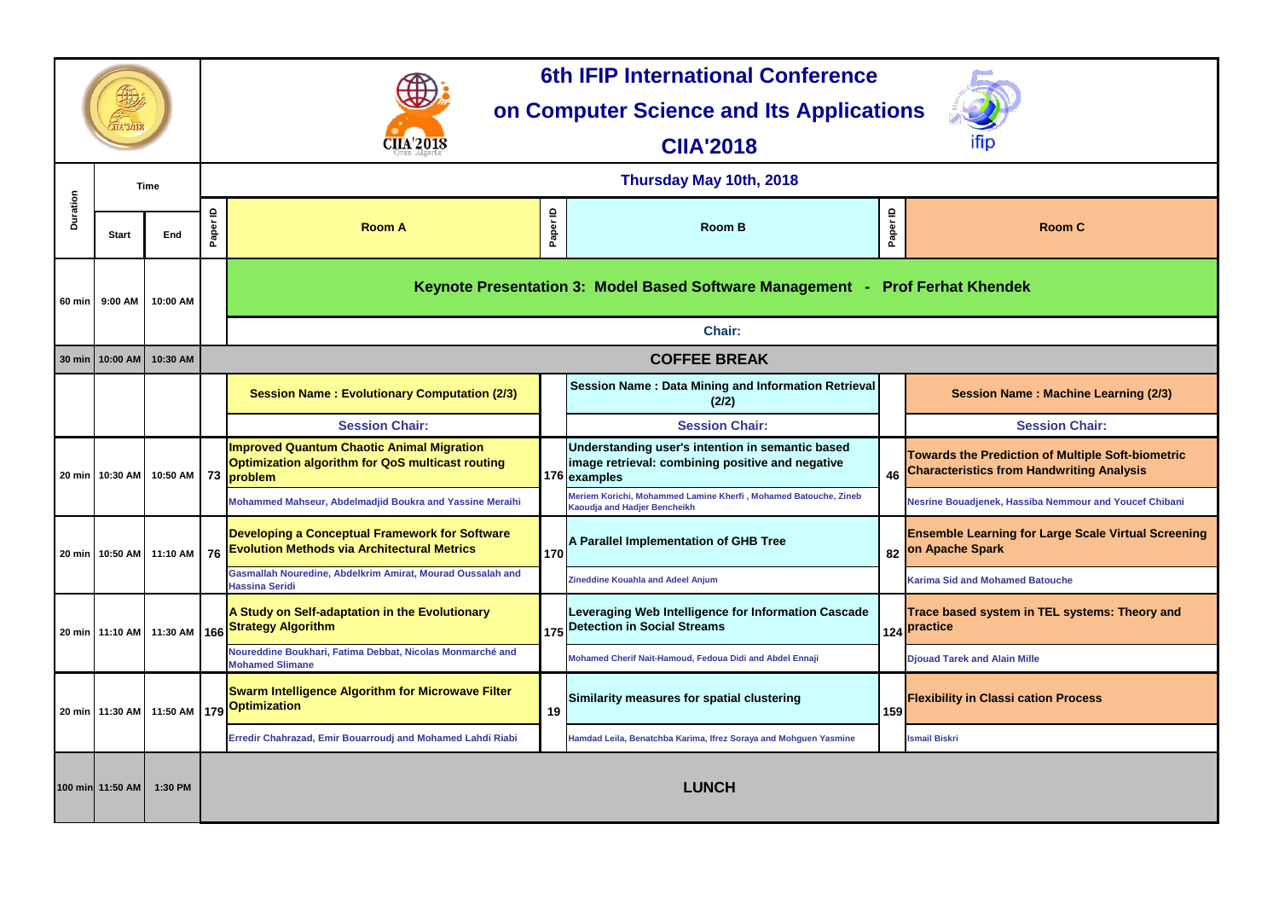**(2/2) Session Name : Machine Learning (2/3)**

#### **Session Chair:**

**Towards the Prediction of Multiple Soft-biometric Characteristics from Handwriting Analysis**

**Kaoudja and Hadjer Bencheikh Nesrine Bouadjenek, Hassiba Nemmour and Youcef Chibani**

**Learning for Large Scale Virtual Screening Spark** 

|          | <b>Time</b>      |                              | Thursday May 10th, 2018 |                                                                                                                           |            |                                                                                                                      |          |                                                                                  |  |  |
|----------|------------------|------------------------------|-------------------------|---------------------------------------------------------------------------------------------------------------------------|------------|----------------------------------------------------------------------------------------------------------------------|----------|----------------------------------------------------------------------------------|--|--|
| Duration | <b>Start</b>     | End                          | $\mathbf{r}$<br>Paper   | <b>Room A</b>                                                                                                             | ≘<br>Paper | <b>Room B</b>                                                                                                        | Paper ID | <b>Room C</b>                                                                    |  |  |
|          | 60 min   9:00 AM | 10:00 AM                     |                         |                                                                                                                           |            | Keynote Presentation 3: Model Based Software Management - Prof Ferhat Khendek                                        |          |                                                                                  |  |  |
|          |                  |                              |                         |                                                                                                                           |            | <b>Chair:</b>                                                                                                        |          |                                                                                  |  |  |
|          | 30 min 10:00 AM  | 10:30 AM                     |                         |                                                                                                                           |            | <b>COFFEE BREAK</b>                                                                                                  |          |                                                                                  |  |  |
|          |                  |                              |                         | <b>Session Name: Evolutionary Computation (2/3)</b>                                                                       |            | Session Name: Data Mining and Information Retrieval<br>(2/2)                                                         |          | <b>Session Name: Machine L</b>                                                   |  |  |
|          |                  |                              |                         | <b>Session Chair:</b>                                                                                                     |            | <b>Session Chair:</b>                                                                                                |          | <b>Session Chair</b>                                                             |  |  |
|          |                  | 20 min   10:30 AM   10:50 AM |                         | <b>Improved Quantum Chaotic Animal Migration</b><br><b>Optimization algorithm for QoS multicast routing</b><br>73 problem |            | Understanding user's intention in semantic based<br>image retrieval: combining positive and negative<br>176 examples |          | <b>Towards the Prediction of Multiple</b><br>46 Characteristics from Handwriting |  |  |
|          |                  |                              |                         | <b>Mohammed Mahseur, Abdelmadjid Boukra and Yassine Meraihi</b>                                                           |            | Meriem Korichi, Mohammed Lamine Kherfi, Mohamed Batouche, Zineb<br>Kaoudja and Hadjer Bencheikh                      |          | Nesrine Bouadjenek, Hassiba Nemmour a                                            |  |  |
|          |                  | 20 min   10:50 AM   11:10 AM | 76                      | Developing a Conceptual Framework for Software<br><b>Evolution Methods via Architectural Metrics</b>                      | 170        | A Parallel Implementation of GHB Tree                                                                                |          | <b>Ensemble Learning for Large Scale</b><br>82 On Apache Spark                   |  |  |
|          |                  |                              |                         | Gasmallah Nouredine, Abdelkrim Amirat, Mourad Oussalah and<br><b>Hassina Seridi</b>                                       |            | <b>Zineddine Kouahla and Adeel Anjum</b>                                                                             |          | <b>Karima Sid and Mohamed Batouche</b>                                           |  |  |
|          |                  |                              |                         | A Study on Self-adaptation in the Evolutionary                                                                            |            | Leveraging Web Intelligence for Information Cascade<br>$1_{175} $ Detection in Social Streams                        |          | <b>Trace based system in TEL system</b><br>124 Practice                          |  |  |
|          |                  |                              |                         | Noureddine Boukhari, Fatima Debbat, Nicolas Monmarché and<br><b>Mohamed Slimane</b>                                       |            | Mohamed Cherif Nait-Hamoud, Fedoua Didi and Abdel Ennaji                                                             |          | <b>Djouad Tarek and Alain Mille</b>                                              |  |  |
|          |                  |                              |                         | <b>Swarm Intelligence Algorithm for Microwave Filter</b><br>┃20 min   11:30 AM   11:50 AM ┃179 <mark>Optimization</mark>  | 19         | Similarity measures for spatial clustering                                                                           | 159      | <b>Flexibility in Classi cation Process</b>                                      |  |  |
|          |                  |                              |                         | Erredir Chahrazad, Emir Bouarroudj and Mohamed Lahdi Riabi                                                                |            | Hamdad Leila, Benatchba Karima, Ifrez Soraya and Mohguen Yasmine                                                     |          | <b>Ismail Biskri</b>                                                             |  |  |
|          | 100 min 11:50 AM | 1:30 PM                      |                         |                                                                                                                           |            | <b>LUNCH</b>                                                                                                         |          |                                                                                  |  |  |



**Trace based system in TEL systems: Theory and** 

#### **Room C**



# **6th IFIP International Conference**

# **on Computer Science and Its Applications**

**CIIA'2018**